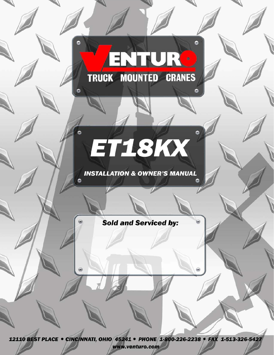# ENTUR TRUCK MOUNTED CRANES

 $\bullet$ 

# ET18KX

**INSTALLATION & OWNER'S MANUAL** 

**Sold and Serviced by:** 

12110 BEST PLACE . CINCINNATI, OHIO 45241 . PHONE 1-800-226-2238 . FAX 1-513-326-5427 www.venturo.com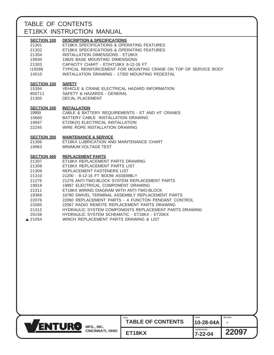## TABLE OF CONTENTS ET18KX INSTRUCTION MANUAL

| <b>SECTION 100</b><br>21301<br>21302<br>21304<br>19930<br>21303<br>119288<br>14510                                                        | <b>DESCRIPTION &amp; SPECIFICATIONS</b><br>ET18KX SPECIFICATIONS & OPERATING FEATURES<br>ET18KX SPECIFICATIONS & OPERATING FEATURES<br><b>INSTALLATION DIMENSIONS - ET18KX</b><br>19825 BASE MOUNTING DIMENSIONS<br>CAPACITY CHART - ET/HT18KX 8-12-16 FT<br>TYPICAL REINFORCEMENT FOR MOUNTING CRANE ON TOP OF SERVICE BODY<br>INSTALLATION DRAWING - 17350 MOUNTING PEDESTAL                                                                                                                                                                                                                                    |
|-------------------------------------------------------------------------------------------------------------------------------------------|-------------------------------------------------------------------------------------------------------------------------------------------------------------------------------------------------------------------------------------------------------------------------------------------------------------------------------------------------------------------------------------------------------------------------------------------------------------------------------------------------------------------------------------------------------------------------------------------------------------------|
| <b>SECTION 150</b><br>15394<br>850711<br>21305                                                                                            | <b>SAFETY</b><br>VEHICLE & CRANE ELECTRICAL HAZARD INFORMATION<br>SAFETY & HAZARDS - GENERAL<br><b>DECAL PLACEMENT</b>                                                                                                                                                                                                                                                                                                                                                                                                                                                                                            |
| <b>SECTION 200</b><br>19959<br>15660<br>19947<br>22245                                                                                    | <b>INSTALLATION</b><br>CABLE & BATTERY REQUIREMENTS - ET AND HT CRANES<br>BATTERY CABLE INSTALLATION DRAWING<br>ET25K(X) ELECTRICAL INSTALLATION<br>WIRE ROPE INSTALLATION DRAWING                                                                                                                                                                                                                                                                                                                                                                                                                                |
| <b>SECTION 300</b><br>21306<br>19963                                                                                                      | <b>MAINTENANCE &amp; SERVICE</b><br>ET18KX LUBRICATION AND MAINTENANCE CHART<br>MINIMUM VOLTAGE TEST                                                                                                                                                                                                                                                                                                                                                                                                                                                                                                              |
| <b>SECTION 400</b><br>21307<br>21308<br>21309<br>21310<br>21275<br>19919<br>21311<br>19368<br>22076<br>22085<br>21312<br>20156<br>▲ 21054 | <b>REPLACEMENT PARTS</b><br>ET18KX REPLACEMENT PARTS DRAWING<br>ET18KX REPLACEMENT PARTS LIST<br>REPLACEMENT FASTENERS LIST<br>21200 - 8-12-16 FT BOOM ASSEMBLY<br>21276 ANTI-TWO-BLOCK SYSTEM REPLACEMENT PARTS<br>19897 ELECTRICAL COMPONENT DRAWING<br>ET18KX WIRING DIAGRAM WITH ANTI-TWO-BLOCK<br>16780 SWIVEL TERMINAL ASSEMBLY REPLACEMENT PARTS<br>22060 REPLACEMENT PARTS - 4 FUNCTON PENDANT CONTROL<br>22067 RADIO REMOTE REPLACEMENT PARTS DRAWING<br>HYDRAULIC SYSTEM COMPONENTS REPLACEMENT PARTS DRAWING<br>HYDRAULIC SYSTEM SCHEMATIC - ET18KX - ET25KX<br>WINCH REPLACEMENT PARTS DRAWING & LIST |

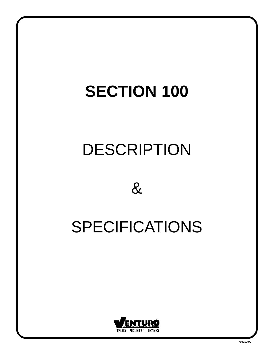# DESCRIPTION



# SPECIFICATIONS

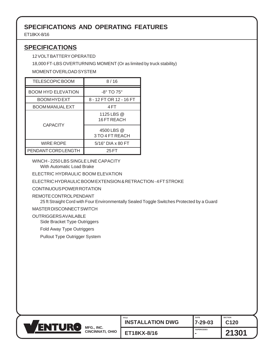## <span id="page-4-0"></span>**SPECIFICATIONS AND OPERATING FEATURES**

ET18KX-8/16

## **SPECIFICATIONS**

12 VOLT BATTERY OPERATED

18,000 FT-LBS OVERTURNING MOMENT (Or as limited by truck stability)

MOMENT OVERLOAD SYSTEM

| TELESCOPIC BOOM            | 8/16                          |
|----------------------------|-------------------------------|
| <b>BOOM HYD ELEVATION</b>  | $-8^\circ$ TO 75 $^\circ$     |
| BOOM HYD EXT               | 8 - 12 FT OR 12 - 16 FT       |
| <b>BOOM MANUAL EXT</b>     | 4 FT                          |
| <b>CAPACITY</b>            | 1125 LBS @<br>16 FT REACH     |
|                            | 4500 LBS @<br>3 TO 4 FT REACH |
| <b>WIRE ROPE</b>           | $5/16"$ DIA x 80 FT           |
| <b>PENDANT CORD LENGTH</b> | 25 FT                         |

WINCH - 2250 LBS SINGLE LINE CAPACITY With Automatic Load Brake

ELECTRIC HYDRAULIC BOOM ELEVATION

ELECTRIC HYDRAULIC BOOM EXTENSION & RETRACTION - 4 FT STROKE

CONTINUOUS POWER ROTATION

REMOTE CONTROL PENDANT

25 ft Straight Cord with Four Environmentally Sealed Toggle Switches Protected by a Guard

MASTER DISCONNECT SWITCH

OUTRIGGERS AVAILABLE

Side Bracket Type Outriggers

Fold Away Type Outriggers

Pullout Type Outrigger System

| <b>FU</b><br>ENT |                                       | TITLE<br><b>TALLATION DWG</b><br>INS <sup>:</sup> | DATE<br>7-29-03   | <b>SECTION</b><br><b>C120</b> |
|------------------|---------------------------------------|---------------------------------------------------|-------------------|-------------------------------|
|                  | MFG., INC.<br><b>CINCINNATI, OHIO</b> | ET18KX-8/16                                       | <b>SUPERCEDES</b> | 301                           |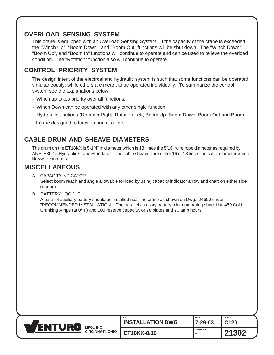### <span id="page-5-0"></span>**OVERLOAD SENSING SYSTEM**

This crane is equipped with an Overload Sensing System. If the capacity of the crane is exceeded, the "Winch Up", "Boom Down", and "Boom Out" functions will be shut down. The "Winch Down", "Boom Up", and "Boom In" functions will continue to operate and can be used to relieve the overload condition. The "Rotation" function also will continue to operate.

## **CONTROL PRIORITY SYSTEM**

The design intent of the electrcal and hydraulic system is such that some functions can be operated simultaneously, while others are meant to be operated individually. To summarize the control system see the explanations below.

- Winch up takes priority over all functions.
- Winch Down can be operated with any other single function.
- Hydraulic functions (Rotation Right, Rotation Left, Boom Up, Boom Down, Boom Out and Boom

In) are designed to function one at a time.

### **CABLE DRUM AND SHEAVE DIAMETERS**

The drum on the ET18KX is 5-1/4" in diameter which is 18 times the 5/16" wire rope diameter as required by ANSI B30.15 Hydraulic Crane Standards. The cable sheaves are either 16 or 18 times the cable diameter which likewise conforms.

#### **MISCELLANEOUS**

A. CAPACITY INDICATOR

Select boom reach and angle allowable for load by using capacity indicator arrow and chart on either side of boom.

B. BATTERY HOOKUP

A parallel auxiliary battery should be installed near the crane as shown on Dwg. I24600 under "RECOMMENDED INSTALLATION". The parallel auxiliary battery minimum rating should be 450 Cold Cranking Amps (at 0° F) and 100 reserve capacity, or 78 plates and 70 amp hours.

|  | MFG., INC.<br><b>CINCINNATI, OHIO</b> | TITLE<br><b>INSTALLATION DWG</b> | <b>DATE</b><br>7-29-03   | <b>SECTION</b><br>C120 |
|--|---------------------------------------|----------------------------------|--------------------------|------------------------|
|  |                                       | ET18KX-8/16                      | <b>SUPERCEDES</b><br>. . | 1302                   |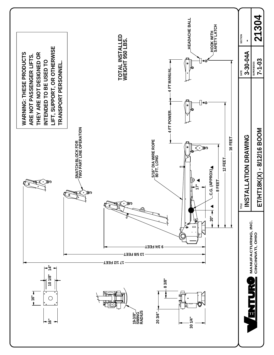<span id="page-6-0"></span>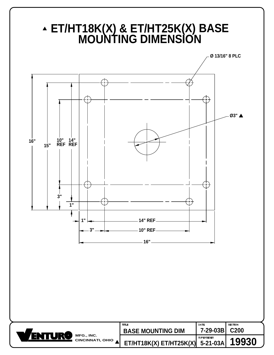<span id="page-7-0"></span>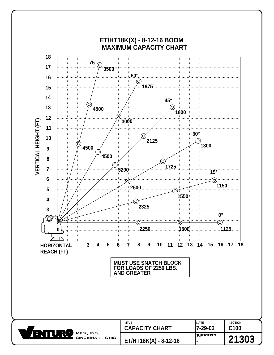<span id="page-8-0"></span>

CINCINNATI, OHIO **ET/HT18K(X) - 8-12-16 -**

**SUPERSEDES**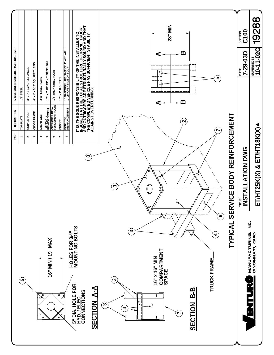<span id="page-9-0"></span>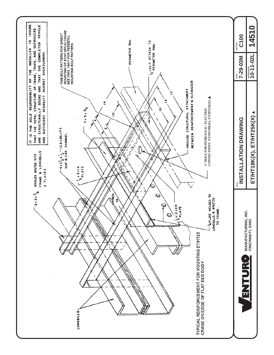<span id="page-10-0"></span>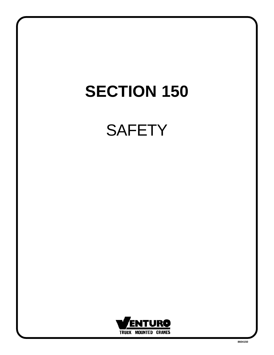# **SAFETY**

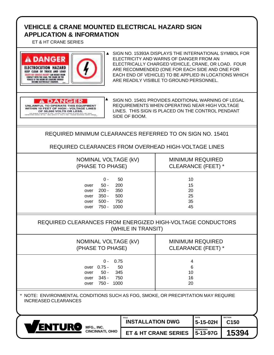### <span id="page-12-0"></span>**VEHICLE & CRANE MOUNTED ELECTRICAL HAZARD SIGN APPLICATION & INFORMATION**

ET & HT CRANE SERIES



SIGN NO. 15393A DISPLAYS THE INTERNATIONAL SYMBOL FOR ELECTRICITY AND WARNS OF DANGER FROM AN ELECTRICALLY CHARGED VEHICLE, CRANE, OR LOAD. FOUR ARE RECOMMENDED (ONE FOR EACH SIDE AND ONE FOR EACH END OF VEHICLE) TO BE APPLIED IN LOCATIONS WHICH ARE READILY VISIBLE TO GROUND PERSONNEL.

#### **A DANGER** UNLAWFUL TO OPERATE THIS EQUIPMENT<br>WITHIN 10 FEET OF HIGH - VOLTAGE LINES<br>OF 50,000 VOLTS OR LESS. MATER DE PERS : WOLSHIE LIGER DE KRITINKE<br>TAA : INNIA ARTIKER DI, Britan II, INNIA : DI

SIGN NO. 15401 PROVIDES ADDITIONAL WARNING OF LEGAL REQUIREMENTS WHEN OPERATING NEAR HIGH VOLTAGE LINES. THIS SIGN IS PLACED ON THE CONTROL PENDANT SIDE OF BOOM.

REQUIRED MINIMUM CLEARANCES REFERRED TO ON SIGN NO. 15401

REQUIRED CLEARANCES FROM OVERHEAD HIGH-VOLTAGE LINES

|                                      | NOMINAL VOLTAGE (kV)<br>(PHASE TO PHASE)                                                          | <b>MINIMUM REQUIRED</b><br>CLEARANCE (FEET) * |
|--------------------------------------|---------------------------------------------------------------------------------------------------|-----------------------------------------------|
| over<br>over<br>over<br>over<br>over | 50<br>0 -<br>$50 -$<br>200<br>$200 -$<br>350<br>$350 -$<br>500<br>$500 -$<br>750<br>750 -<br>1000 | 10<br>15<br>20<br>25<br>35<br>45              |

#### REQUIRED CLEARANCES FROM ENERGIZED HIGH-VOLTAGE CONDUCTORS (WHILE IN TRANSIT)

| NOMINAL VOLTAGE (kV)                                                                                         | <b>MINIMUM REQUIRED</b>  |
|--------------------------------------------------------------------------------------------------------------|--------------------------|
| (PHASE TO PHASE)                                                                                             | CLEARANCE (FEET) *       |
| 0.75<br>$0 -$<br>50<br>over 0.75 -<br>345<br>$50 -$<br>over<br>345 -<br>750<br>over<br>750 -<br>1000<br>over | 4<br>6<br>10<br>16<br>20 |

NOTE: ENVIRONMENTAL CONDITIONS SUCH AS FOG, SMOKE, OR PRECIPITATION MAY REQUIRE INCREASED CLEARANCES



| <b>TITLE</b><br><b>INSTALLATION DWG</b> | <b>DATE</b><br>$ 5 - 15 - 02H $ C150 | <b>SECTION</b> |
|-----------------------------------------|--------------------------------------|----------------|
| ET & HT CRANE SERIES   5-13-97G         | <b>SUPERCEDES</b>                    | 15394          |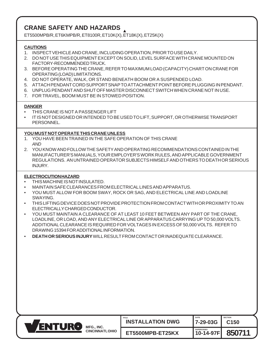## <span id="page-13-0"></span>**CRANE SAFETY AND HAZARDS**

ET5500MPB/R, ET6KMPB/R, ET8100R, ET10K(X), ET18K(X), ET25K(X)

#### **CAUTIONS**

- 1. INSPECT VEHICLE AND CRANE, INCLUDING OPERATION, PRIOR TO USE DAILY.
- 2. DO NOT USE THIS EQUIPMENT EXCEPT ON SOLID, LEVEL SURFACE WITH CRANE MOUNTED ON FACTORY-RECOMMENDED TRUCK.
- 3. BEFORE OPERATING THE CRANE, REFER TO MAXIMUM LOAD (CAPACITY) CHART ON CRANE FOR OPERATING (LOAD) LIMITATIONS.
- 4. DO NOT OPERATE, WALK, OR STAND BENEATH BOOM OR A SUSPENDED LOAD.
- 5. ATTACH PENDANT CORD SUPPORT SNAP TO ATTACHMENT POINT BEFORE PLUGGING IN PENDANT.
- 6. UNPLUG PENDANT AND SHUT OFF MASTER DISCONNECT SWITCH WHEN CRANE NOT IN USE.
- 7. FOR TRAVEL, BOOM MUST BE IN STOWED POSITION.

#### **DANGER**

- THIS CRANE IS NOT A PASSENGER LIFT
- IT IS NOT DESIGNED OR INTENDED TO BE USED TO LIFT, SUPPORT, OR OTHERWISE TRANSPORT PERSONNEL.

#### **YOU MUST NOT OPERATE THIS CRANE UNLESS**

- 1. YOU HAVE BEEN TRAINED IN THE SAFE OPERATION OF THIS CRANE AND
- 2. YOU KNOW AND FOLLOW THE SAFETY AND OPERATING RECOMMENDATIONS CONTAINED IN THE MANUFACTURER'S MANUALS, YOUR EMPLOYER'S WORK RULES, AND APPLICABLE GOVERNMENT REGULATIONS. AN UNTRAINED OPERATOR SUBJECTS HIMSELF AND OTHERS TO DEATH OR SERIOUS INJURY.

#### **ELECTROCUTION HAZARD**

- THIS MACHINE IS NOT INSULATED.
- MAINTAIN SAFE CLEARANCES FROM ELECTRICAL LINES AND APPARATUS.
- YOU MUST ALLOW FOR BOOM SWAY, ROCK OR SAG, AND ELECTRICAL LINE AND LOADLINE SWAYING.
- THIS LIFTING DEVICE DOES NOT PROVIDE PROTECTION FROM CONTACT WITH OR PROXIMITY TO AN ELECTRICALLY CHARGED CONDUCTOR.
- YOU MUST MAINTAIN A CLEARANCE OF AT LEAST 10 FEET BETWEEN ANY PART OF THE CRANE, LOADLINE, OR LOAD, AND ANY ELECTRICAL LINE OR APPARATUS CARRYING UP TO 50,000 VOLTS. ADDITIONAL CLEARANCE IS REQUIRED FOR VOLTAGES IN EXCESS OF 50,000 VOLTS. REFER TO DRAWING 15394 FOR ADDITIONAL INFORMATION.
- **DEATH OR SERIOUS INJURY** WILL RESULT FROM CONTACT OR INADEQUATE CLEARANCE.

| IR  | MFG., INC.              | TITLE                   | <b>DATE</b>                    | <b>SECTION</b>   |
|-----|-------------------------|-------------------------|--------------------------------|------------------|
| ENN |                         | <b>INSTALLATION DWG</b> | 7-29-03G                       | C <sub>150</sub> |
|     | <b>CINCINNATI, OHIO</b> | ET5500MPB-ET25KX        | <b>SUPERCEDES</b><br>10-14-97F | 850711           |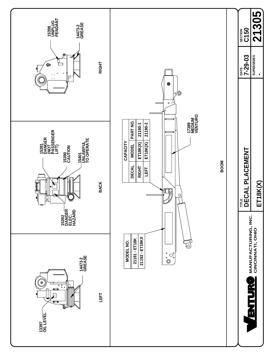<span id="page-14-0"></span>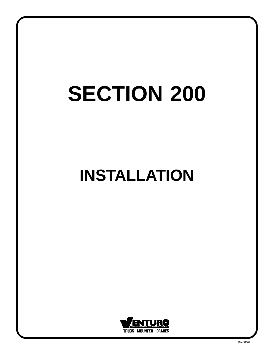# **INSTALLATION**

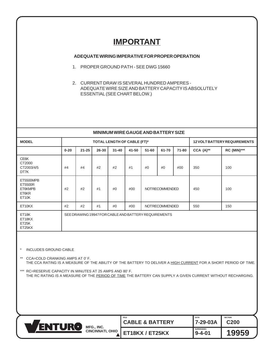## **IMPORTANT**

#### <span id="page-16-0"></span>**ADEQUATE WIRING IMPERATIVE FOR PROPER OPERATION**

- 1. PROPER GROUND PATH SEE DWG 15660
- 2. CURRENT DRAW IS SEVERAL HUNDRED AMPERES ADEQUATE WIRE SIZE AND BATTERY CAPACITY IS ABSOLUTELY ESSENTIAL (SEE CHART BELOW.)

#### **MINIMUM WIRE GAUGE AND BATTERY SIZE**

| <b>MODEL</b>                                      |          |           |       | TOTAL LENGTH OF CABLE (FT)* |       | <b>12 VOLT BATTERY REQUIREMENTS</b>                  |                       |       |              |                    |
|---------------------------------------------------|----------|-----------|-------|-----------------------------|-------|------------------------------------------------------|-----------------------|-------|--------------|--------------------|
|                                                   | $0 - 20$ | $21 - 25$ | 26-30 | $31 - 40$                   | 41-50 | $51 - 60$                                            | 61-70                 | 71-80 | $CCA (A)$ ** | <b>RC (MIN)***</b> |
| CE6K<br>CT2000<br>CT2003/4/5<br>DT7K              | #4       | #4        | #2    | #2                          | #1    | #0                                                   | #0                    | #00   | 350          | 100                |
| ET5500MPB<br>ET5500R<br>ET6KMPB<br>ET6KR<br>ET10K | #2       | #2        | #1    | #0                          | #00   |                                                      | <b>NOTRECOMMENDED</b> |       | 450          | 100                |
| ET10KX                                            | #2       | #2        | #1    | #0                          | #00   | <b>NOTRECOMMENDED</b>                                |                       | 550   | 150          |                    |
| ET18K<br>ET18KX<br>ET <sub>25</sub> K<br>ET25KX   |          |           |       |                             |       | SEE DRAWING 19947 FOR CABLE AND BATTERY REQUIREMENTS |                       |       |              |                    |

#### \* INCLUDES GROUND CABLE

\*\* CCA=COLD CRANKING AMPS AT 0' F. THE CCA RATING IS A MEASURE OF THE ABILITY OF THE BATTERY TO DELIVER A HIGH CURRENT FOR A SHORT PERIOD OF TIME.

\*\*\* RC=RESERVE CAPACITY IN MINUTES AT 25 AMPS AND 80' F. THE RC RATING IS A MEASURE OF THE PERIOD OF TIME THE BATTERY CAN SUPPLY A GIVEN CURRENT WITHOUT RECHARGING.

| IR<br>TU<br>ENT | MFG., INC.<br><b>CINCINNATI, OHIO</b> | TITLE<br><b>CABLE &amp; BATTERY</b> | <b>DATE</b><br>7-29-03A           | <b>SECTION</b><br><b>C200</b> |
|-----------------|---------------------------------------|-------------------------------------|-----------------------------------|-------------------------------|
|                 |                                       | ET18KX / ET25KX                     | <b>SUPERCEDES</b><br>$9 - 4 - 01$ | 9959                          |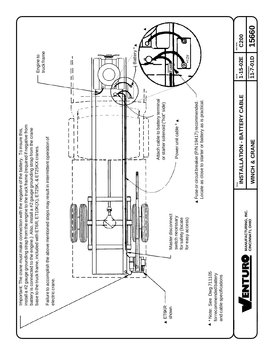<span id="page-17-0"></span>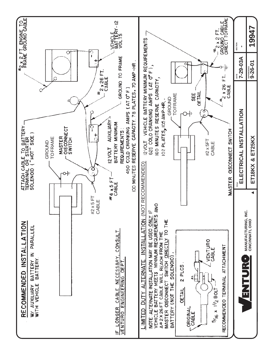<span id="page-18-0"></span>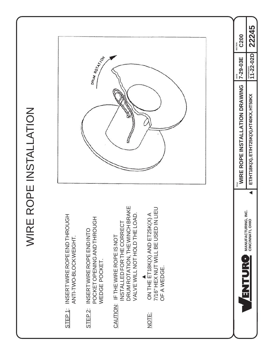<span id="page-19-0"></span>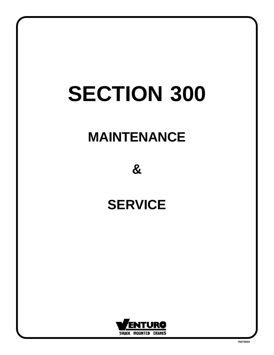# **MAINTENANCE**

**&**

## **SERVICE**

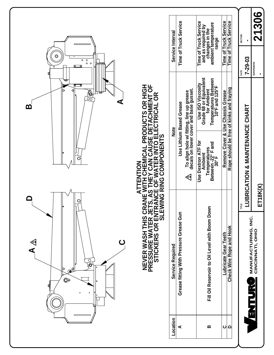<span id="page-21-0"></span>

|                                                                                                      |                                                                                                  | Service Interval | Time of Truck Service                                                                                                 | Time of Truck Service<br>and as required by<br>changes in the<br>ambient temperature<br>range        | Time of Truck Service<br>Time of Truck Service                                | <b>SECTION</b><br>П             | 21306                                                   |
|------------------------------------------------------------------------------------------------------|--------------------------------------------------------------------------------------------------|------------------|-----------------------------------------------------------------------------------------------------------------------|------------------------------------------------------------------------------------------------------|-------------------------------------------------------------------------------|---------------------------------|---------------------------------------------------------|
| $\circledcirc$<br>$\circ$<br>$\circ$<br>$\circ$<br>$\circ$                                           |                                                                                                  |                  |                                                                                                                       |                                                                                                      |                                                                               | $7 - 29 - 03$<br>DATE           | <b>SUPERSEDES</b>                                       |
| b<br>$\frac{\partial}{\partial \mathbf{Q}}$<br>Ω<br>⋖<br><u>ന</u>                                    | CHEMICAL PRODUCTS OR HIGH<br>Y CAN CAUSE DETACHMENT OF<br>VATER INTO ELECTRICAL OR<br>COMPONENTS | <b>Note</b>      | To align hole w/ fitting, line up grease<br>decals on lower cover and base gusset.<br><b>Use Lithium Based Grease</b> | Use ISO Viscosity<br>Grade 68 or Equivalent<br>for Ambient<br>Temperatures Between<br>10°F and 125°F | Rope should be free of kinks and fraying<br>Remove Cover & Use Chassis Grease |                                 |                                                         |
| C                                                                                                    | $\mathbf{z}$                                                                                     |                  | $\Leftrightarrow$                                                                                                     | Use Dextron ATF for<br>Temperatures<br>Between -22° F and<br>30° F<br>Ambient                        |                                                                               | -UBRICATION & MAINTENANCE CHART |                                                         |
| O                                                                                                    | <b>ZANE WITH<br/>TS, AS THEN<br/>RANCE OF W<br/>MING RING (</b>                                  |                  |                                                                                                                       |                                                                                                      |                                                                               | щ<br>Ĕ                          | ET18K(X)                                                |
| $\triangleleft$<br>ပ<br>$\frac{1}{\sqrt{2}}$<br>b<br>$\mathbf{Q}^{d}$<br>$\bullet$<br>ſ<br>$\bullet$ | NEVER WASH THIS CRAI<br>PRESSURE WATER JETS<br>STICKERS OR ENTRA<br>STICKERS OR ENTRA            | Service Required | Grease fitting With Pressure Grease Gun                                                                               | Fill Oil Reservoir to Oil Level with Boom Down                                                       | <b>Check Wire Rope and Hook</b><br>Lubricate Gear Teeth                       |                                 | MANUFACTURING, INC.<br>CINCINATI, OHIO<br><b>ESPERT</b> |
|                                                                                                      |                                                                                                  | Location         | ⋖                                                                                                                     | $\pmb{\underline{\mathsf{m}}}$                                                                       | <u> 0 0</u>                                                                   |                                 |                                                         |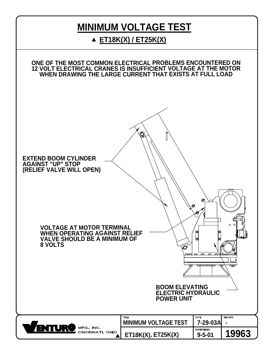## **MINIMUM VOLTAGE TEST**

## **ET18K(X) / ET25K(X)**

<span id="page-22-0"></span>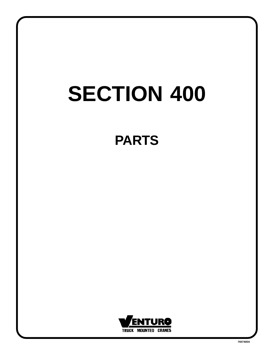# **PARTS**

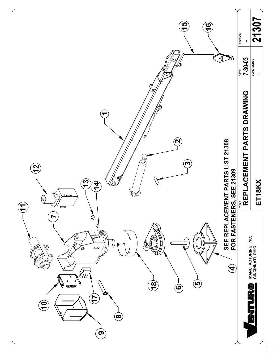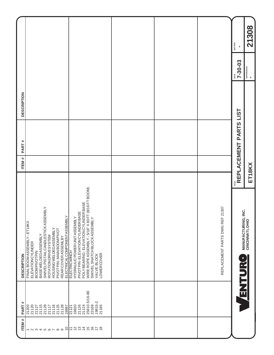<span id="page-25-0"></span>

|                    |                                                                                                                                                                                                                                                       |                                                                                                                                                                                                                                                                                    |  |                                    | SECTION<br>$\blacksquare$                    | 21308                                                |
|--------------------|-------------------------------------------------------------------------------------------------------------------------------------------------------------------------------------------------------------------------------------------------------|------------------------------------------------------------------------------------------------------------------------------------------------------------------------------------------------------------------------------------------------------------------------------------|--|------------------------------------|----------------------------------------------|------------------------------------------------------|
|                    |                                                                                                                                                                                                                                                       |                                                                                                                                                                                                                                                                                    |  |                                    | $7 - 30 - 03$                                | SUPERCEDES<br>=                                      |
| <b>DESCRIPTION</b> |                                                                                                                                                                                                                                                       |                                                                                                                                                                                                                                                                                    |  |                                    |                                              |                                                      |
| PART#              |                                                                                                                                                                                                                                                       |                                                                                                                                                                                                                                                                                    |  |                                    | $\frac{m_{\rm H}}{R}$ REPLACEMENT PARTS LIST |                                                      |
| <b>ITEM#</b>       |                                                                                                                                                                                                                                                       |                                                                                                                                                                                                                                                                                    |  |                                    |                                              |                                                      |
| <b>DESCRIPTION</b> | SWIVEL PIGTAIL CANDLESTICK ASSEMBLY<br>FINAL BOOM ASSEMBLY - ET18KX<br>HOUSING WELDED ASSEMBLY<br>PIVOT PIN-MAIN BOOM PIVOT<br>BASE WELDED ASSEMBLY<br><b>ROTATIONDRIVESYSTEM</b><br>REAR COVER ASSEMLBY<br>ELEVATION CYLINDER<br><b>BOOMPIVOTPIN</b> | POLY BEARING - ELEVATION CYLINDER BASE<br>WIRE ROPE ASSEMBLY - 5/16" X 80 FT (8/16 FT BOOM)<br>PIVOT PIN-ELEVATION CYLINDER BASE<br>ELECTRICAL COMPONENTASSEMBLY<br>ELECTRICWINCH<br>HYDRAULIC POWER UNITASSEMBLY<br>SWIVELSNATCHBLOCKASSEMBLY<br><b>LOWERCOVER</b><br>VALVE BLOCK |  | 21307<br>REPLACEMENT PARTS DWG REF | ن<br>≧<br><b>SHUTURO</b>                     | ET18KX<br><b>MANUFACTURING,<br/>CINCINNATI, OHIO</b> |
| PART#              | 21115<br>21129<br>21116<br>21125<br>21128<br>21120<br>21200<br>21127<br>21117<br>19897                                                                                                                                                                | 25810-5/16-80<br>19815-2<br>23169<br>21185<br>21126<br>21124<br>19820<br>21121                                                                                                                                                                                                     |  |                                    |                                              |                                                      |
| <b>ITEM#</b>       | $\overline{\phantom{0}}$<br>$ \alpha$ $\alpha$ $+$ $\alpha$ $\alpha$ $\alpha$ $\alpha$ $\alpha$                                                                                                                                                       | 224567<br>$\overline{z}$<br>$\frac{8}{1}$                                                                                                                                                                                                                                          |  |                                    |                                              |                                                      |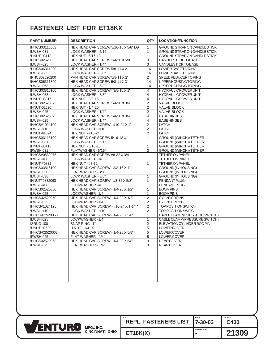## **FASTENER LIST FOR ET18KX**

<span id="page-26-0"></span>

| <b>PART NUMBER</b> | <b>DESCRIPTION</b>                   | QTY                     | <b>LOCATION/FUNCTION</b>      |  |
|--------------------|--------------------------------------|-------------------------|-------------------------------|--|
| !HHCS03118063      | HEX HEAD CAP SCREW 5/16-18 X 5/8" LG | $\mathbf{1}$            | GROUND STRAP ON CANDLESTICK   |  |
| !LWSH-031          | LOCK WASHER - 5/16                   | 1                       | GROUND STRAP ON CANDLESTICK   |  |
| !HNUT-03118        | <b>HEX NUT - 5/16-18</b>             | $\mathbf{1}$            | GROUND STRAP ON CANDLESTICK   |  |
| !HHCS02520063      | HEX HEAD CAP SCREW 1/4-20 X 5/8"     | 3                       | <b>CANDLESTICK TO BASE</b>    |  |
| !LWSH-025          | LOCK WASHER - 1/4"                   | 3                       | CANDLESTICK TO BASE           |  |
| !HHCS06311200      | HEX HEAD CAP SCREW 5/8-11 X 2"       | 16                      | LOWER BASE TO RING            |  |
| !LWSH-063          | LOCK WASHER - 5/8"                   | 16                      | LOWER BASE TO RING            |  |
| !PHCS02520200      | PAN HEAD CAP SCREW 5/8-11 X 2"       | $\overline{2}$          | SPEED REDUCER TO RING         |  |
| !HHCS06311300      | HEX HEAD CAP SCREW 5/8-11 X 3"       | 14                      | UPPER HOUSING TO RING         |  |
| !LWSH-063          | LOCK WASHER - 5/8"                   | 14                      | UPPER HOUSING TO RING         |  |
| !HHCS03816100      | HEX HEAD CAP SCREW - 3/8-16 X 1"     | 4                       | <b>HYDRAULIC POWER UNIT</b>   |  |
| !LWSH-038          | LOCK WASHER - 3/8"                   | 4                       | <b>HYDRAULIC POWER UNIT</b>   |  |
| !HNUT-03816        | <b>HEX NUT - 3/8-16</b>              | $\overline{4}$          | <b>HYDRAULIC POWER UNIT</b>   |  |
| !HHCS02520075      | HEX HEAD CAP SCREW 1/4-20 X 3/4"     | $\mathbf 2$             | <b>VALVE BLOCK</b>            |  |
| !HNUT-02520        | <b>HEX NUT - 1/4-20</b>              | $\overline{2}$          | <b>VALVE BLOCK</b>            |  |
| !LWSH-025          | LOCK WASHER - 1/4"                   | $\overline{2}$          | <b>VALVE BLOCK</b>            |  |
| !HHCS02520075      | HEX HEAD CAP SCREW 1/4-20 X 3/4"     | $\overline{4}$          | <b>BASE HINGES</b>            |  |
| !LWSH-025          | LOCK WASHER - 1/4"                   | $\overline{4}$          | <b>BASE HINGES</b>            |  |
| !HHCS#1024100      | HEX HEAD CAP SCREW - #10-24 X 1"     | $\mathbf 2$             | LATCH                         |  |
| !LWSH-#10          |                                      | $\overline{2}$          | LATCH                         |  |
|                    | LOCK WASHER - #10                    |                         |                               |  |
| !HNUT-#1024        | <b>HEX NUT - #10-24</b>              | $\overline{2}$          | LATCH                         |  |
| !HHCS03118100      | HEX HEAD CAP SCREW 5/16-18 X 1"      | $\mathbf{1}$            | GROUND (WINCH)/TETHER         |  |
| !LWSH-031          | LOCK WASHER - 5/16                   | 1                       | GROUND (WINCH) / TETHER       |  |
| !HNUT-03118        | <b>HEX NUT - 5/16-18</b>             | $\mathbf{1}$            | GROUND (WINCH)/TETHER         |  |
| !FWSH-031          | FLATWASHER - 5/16"                   | $\overline{2}$          | GROUND (WINCH)/TETHER         |  |
| !HHCS#0832075      | HEX HEAD CAP SCREW #8-32 X 3/4"      | 1                       | <b>TETHERONPANEL</b>          |  |
| !LWSH-#08          | LOCK WASHER - #8                     | 1                       | <b>TETHER ON PANEL</b>        |  |
| !HNUT-#0832        | <b>HEX NUT - #8-32</b>               | $\mathbf{1}$            | <b>TETHER ON PANEL</b>        |  |
| !HHCS03816100      | HEX HEAD CAP SCREW - 3/8-16 X 1"     | 1                       | GROUND (IN HOUSING)           |  |
| !FWSH-038          | FLAT WASHER - 3/8"                   | 1                       | GROUND (IN HOUSING)           |  |
| !LWSH-038          | LOCK WASHER - 3/8"                   | 1                       | GROUND (IN HOUSING)           |  |
| !HNUT#0832063      | HEX HEAD CAP SCREW - #8-32 X 5/8"    | $\mathbf{1}$            | <b>PENDANTPLUG</b>            |  |
| !LWSH-#08          | LOCKWASHER-#8                        | $\mathbf{1}$            | <b>PENDANTPLUG</b>            |  |
| !HHCS02520050      | HEX HEAD CAP SCREW - 1/4-20 X 1/2"   | 1                       | <b>BOOMPINS</b>               |  |
| !LWSH-025          | LOCKWASHER - 1/4                     | 1                       | <b>BOOMPINS</b>               |  |
| !HHCS02520050      | HEX HEAD CAP SCREW - 1/4-20 X 1/2"   | $\sqrt{2}$              | <b>CYLINDER PINS</b>          |  |
| !LWSH-025          | LOCKWASHER - 1/4                     | $\overline{\mathbf{c}}$ | <b>CYLINDER PINS</b>          |  |
| !HHCS#1024125      | HEX HEAD CAP SCREW - #10-24 X 1-1/4" | $\overline{c}$          | <b>TOP POSITION SWITCH</b>    |  |
| !LWSH-#10          | LOCK WASHER - #10                    | $\sqrt{2}$              | <b>TOP POSITION SWITCH</b>    |  |
| !HHCS-02520063     | HEX HEAD CAP SCREW - 1/4-20 X 5/8"   | 1                       | CABLE CLAMP (PRESSURE SWITCH) |  |
| !LWSH-025          | LOCKWASHER-1/4                       | 1                       | CABLE CLAMP (PRESSURE SWITCH) |  |
| !SRNG-100          | SNAP RING - 1"                       | $\sqrt{2}$              | ELEVATION CYLINDER ROD PIN    |  |
| !UNUT-02520        | U NUT - 1/4-20                       | 5                       | LOWER COVER                   |  |
| !HHCS-02520063     | HEX HEAD CAP SCREW - 1/4-20 X 5/8"   | 5                       | LOWER COVER                   |  |
| !FWSH-025          | FLAT WASHER - 1/4"                   | $\,$ 5 $\,$             | LOWER COVER                   |  |
| !HHCS02520063      | HEX HEAD CAP SCREW - 1/4-20 X 5/8"   | 3                       | <b>REARCOVER</b>              |  |
| !FWSH-025          | FLAT WASHER - 1/4"                   | 3                       | <b>REARCOVER</b>              |  |
|                    |                                      |                         |                               |  |
|                    |                                      |                         |                               |  |
|                    |                                      |                         |                               |  |
|                    |                                      |                         |                               |  |
|                    |                                      |                         |                               |  |
|                    |                                      |                         |                               |  |
|                    |                                      |                         |                               |  |
|                    |                                      |                         |                               |  |
|                    |                                      |                         |                               |  |

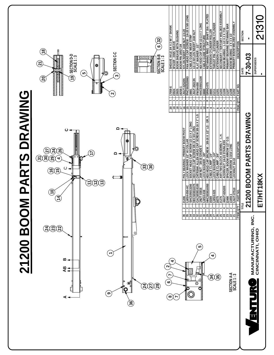<span id="page-27-0"></span>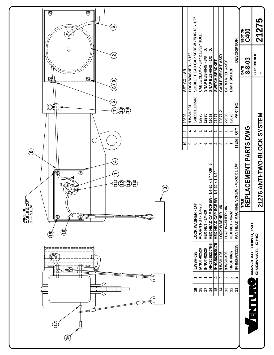<span id="page-28-0"></span>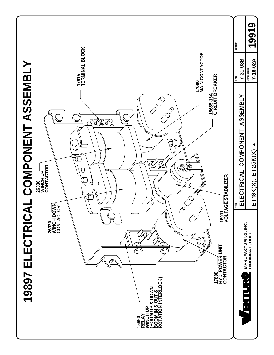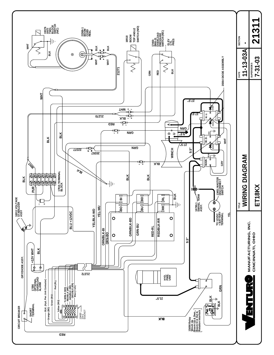<span id="page-30-0"></span>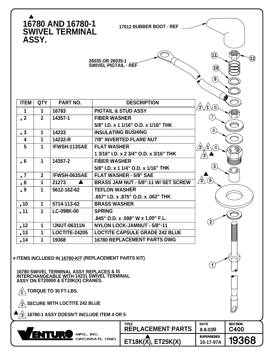<span id="page-31-0"></span>

| 16780 AND 16780-1<br>17012 RUBBER BOOT - REF<br><b>SWIVEL TERMINAL</b><br>ASSY.                                                                                                       |                      |                      |                                      |                                          |                                           |                        |  |  |  |
|---------------------------------------------------------------------------------------------------------------------------------------------------------------------------------------|----------------------|----------------------|--------------------------------------|------------------------------------------|-------------------------------------------|------------------------|--|--|--|
| (11)<br>$\bf(12)$<br>26035 OR 26035-1<br>SWIVEL PIGTAIL - REF<br>(10)<br>$\left( \begin{matrix} 9 \end{matrix} \right)$                                                               |                      |                      |                                      |                                          |                                           |                        |  |  |  |
| <b>ITEM</b>                                                                                                                                                                           | <b>QTY</b>           | <b>PART NO.</b>      |                                      | <b>DESCRIPTION</b>                       | (8)                                       |                        |  |  |  |
| 1                                                                                                                                                                                     | 1                    | 16783                |                                      | <b>PIGTAIL &amp; STUD ASSY</b>           |                                           |                        |  |  |  |
| $\star$ 2                                                                                                                                                                             | $\mathbf{2}$         | 14357-1              | <b>FIBER WASHER</b>                  |                                          | $\overline{7}$                            |                        |  |  |  |
|                                                                                                                                                                                       |                      |                      |                                      | 5/8" I.D. x 1 1/16" O.D. x 1/16" THK     |                                           |                        |  |  |  |
| $\star$ 3                                                                                                                                                                             | 1                    | 14233                |                                      | <b>INSULATING BUSHING</b>                | $\left( 6\right)$                         |                        |  |  |  |
| 4                                                                                                                                                                                     | 1                    | 14232-R              |                                      | 7/8" INVERTED FLARE NUT                  |                                           |                        |  |  |  |
| 5                                                                                                                                                                                     | 1                    | !FWSH-113SAE         | <b>FLAT WASHER</b>                   |                                          | $\overline{4}$                            |                        |  |  |  |
|                                                                                                                                                                                       |                      |                      |                                      | 1 3/16" I.D. x 2 3/4" O.D. x 3/16" THK   |                                           |                        |  |  |  |
| $*6$                                                                                                                                                                                  | 1                    | 14357-2              | <b>FIBER WASHER</b>                  |                                          | $\left(3\right)$                          |                        |  |  |  |
|                                                                                                                                                                                       |                      |                      |                                      | 5/8" I.D. x 1 1/4" O.D. x 1/16" THK      |                                           |                        |  |  |  |
| $\star$ 7                                                                                                                                                                             | $\overline{2}$       | !FWSH-063SAE         |                                      | <b>FLAT WASHER - 5/8" SAE</b>            | $\left( 5\right)$<br>$\sqrt{3}\backslash$ |                        |  |  |  |
| $*8$                                                                                                                                                                                  | 1                    | 21273                | BRASS JAM NUT - 5/8"-11 W/ SET SCREW |                                          |                                           |                        |  |  |  |
| $*9$                                                                                                                                                                                  | 1                    | 5612-162-62          | <b>TEFLON WASHER</b>                 |                                          |                                           |                        |  |  |  |
|                                                                                                                                                                                       |                      |                      | .657" I.D. x .875" O.D. x .062" THK  |                                          |                                           |                        |  |  |  |
| $\cdot$ 10                                                                                                                                                                            | 1                    | 5714-113-62          |                                      | <b>BRASS WASHER</b>                      |                                           |                        |  |  |  |
| $\star$ 11                                                                                                                                                                            | 1                    | LC-098K-00           | <b>SPRING</b>                        |                                          |                                           |                        |  |  |  |
|                                                                                                                                                                                       |                      |                      |                                      | .845" O.D. x .098" W x 1.00" F.L.        | $\left( 2\right)$                         |                        |  |  |  |
| $*12$                                                                                                                                                                                 | 1                    | !JNUT-06311N         | NYLON LOCK-JAMNUT - 5/8"-11          |                                          |                                           |                        |  |  |  |
| $\overline{.}13$                                                                                                                                                                      | 1                    | <b>LOCTITE-24205</b> |                                      | <b>LOCTITE CAPSULE GRADE 242 BLUE</b>    |                                           |                        |  |  |  |
| $*14$                                                                                                                                                                                 | 1                    | 19368                | <b>16780 REPLACEMENT PARTS DWG</b>   |                                          |                                           |                        |  |  |  |
| * ITEMS INCLUDED IN 16780-KIT (REPLACEMENT PARTS KIT)<br>16780 SWIVEL TERMINAL ASSY REPLACES & IS<br>INTERCHANGEABLE WITH 14231 SWIVEL TERMINAL<br>ASSY ON ET20000 & ET20K(X) CRANES. |                      |                      |                                      |                                          | $\mathbf 1$                               |                        |  |  |  |
|                                                                                                                                                                                       | TORQUE TO 30 FT-LBS. |                      |                                      |                                          |                                           |                        |  |  |  |
| $\sqrt{2} \backslash$ SECURE WITH LOCTITE 242 BLUE                                                                                                                                    |                      |                      |                                      |                                          |                                           |                        |  |  |  |
| $\sqrt{3} \backslash$ 16780-1 ASSY DOESN'T INCLUDE ITEM 4 OR 5                                                                                                                        |                      |                      |                                      |                                          |                                           |                        |  |  |  |
|                                                                                                                                                                                       |                      |                      |                                      |                                          |                                           |                        |  |  |  |
|                                                                                                                                                                                       |                      |                      |                                      | <b>TITLE</b><br><b>REPLACEMENT PARTS</b> | <b>DATE</b><br>8-8-03B                    | <b>SECTION</b><br>C400 |  |  |  |
| TUR<br>MFG., INC.<br>CINCINNATI, OHIO                                                                                                                                                 |                      |                      | ET18K(X), ET25K(X)                   | <b>SUPERSEDES</b><br>10-17-97A           | 19368                                     |                        |  |  |  |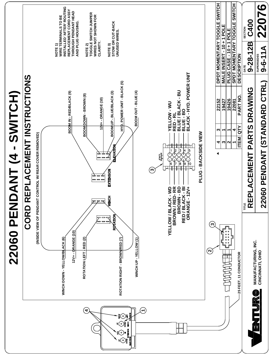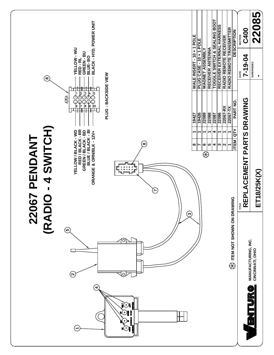<span id="page-33-0"></span>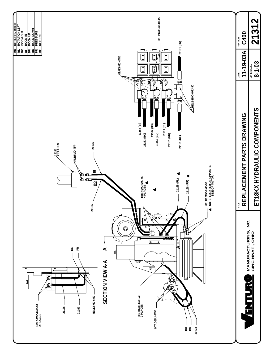<span id="page-34-0"></span>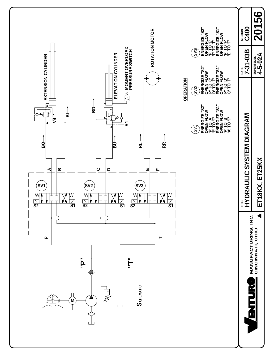<span id="page-35-0"></span>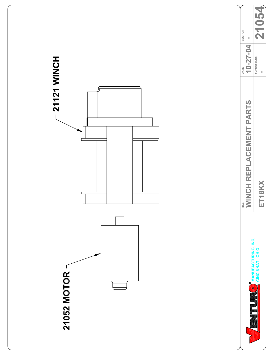